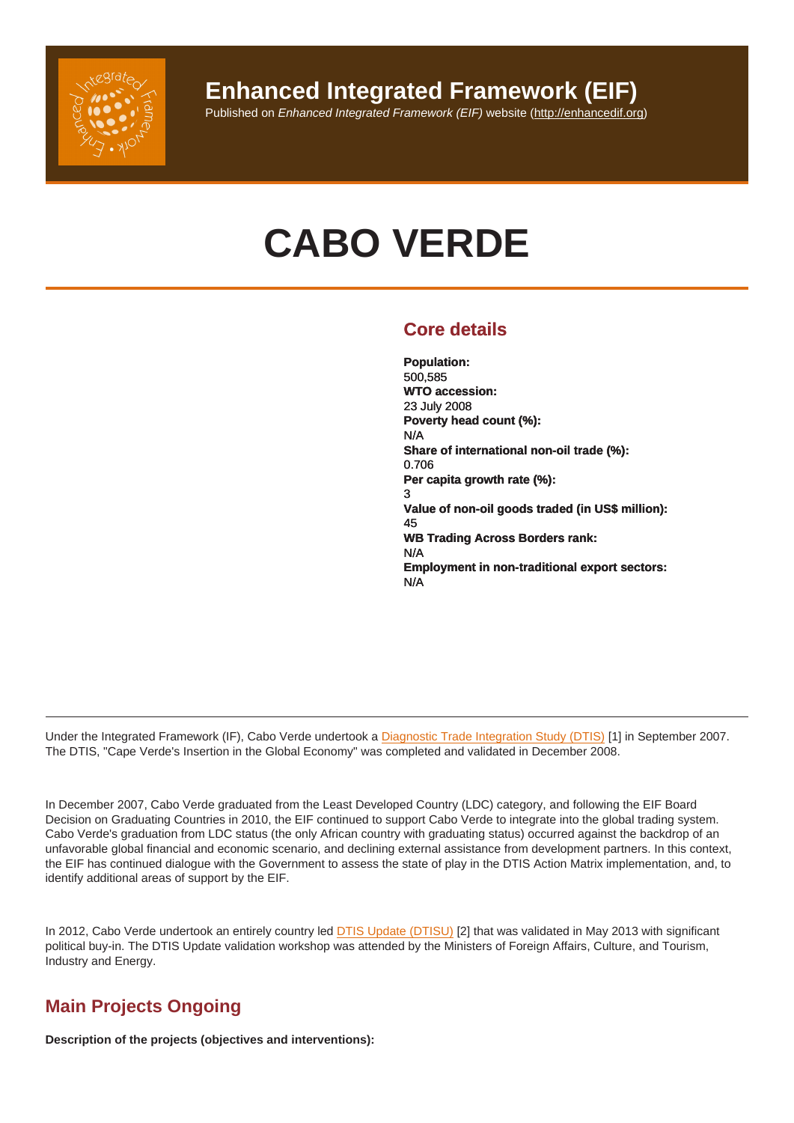## Enhanced Integrated Framework (EIF)

## Published on Enhanced Integrated Framework (EIF) website (http://enhancedif.org)

# CABO VERDE

## Core details

Population: 500,585 WTO accession: 23 July 2008 Poverty head count (%): N/A Share of international non-oil trade (%): 0.706 Per capita growth rate (%): 3 Value of non-oil goods traded (in US\$ million): 45 WB Trading Across Borders rank: N/A Employment in non-traditional export sectors: N/A

Under the Integrated Framework (IF), Cabo Verde undertook a Diagnostic Trade Integration Study (DTIS) [1] in September 2007. The DTIS, "Cape Verde's Insertion in the Global Economy" was completed and validated in December 2008.

In December 2007, Cabo Verde graduated from the Least Dev[eloped Country \(LDC\) category, and followi](http://enhancedif.org/en/The Government of Cabo Verde is undertaking a Medium-term program (MTP) in order to assist Tier 2 project proposal developments. Additionally, the country is in the final stages of deliberation of a comprehensive Tier 2 proposal, aiming to leverage resources for implementation of a multi-sectorial project. The Government of Cabo Verde is also looking at incorporating the findings from the DTISU and the III GRSP into the national development plans.)ng the EIF Board Decision on Graduating Countries in 2010, the EIF continued to support Cabo Verde to integrate into the global trading system. Cabo Verde's graduation from LDC status (the only African country with graduating status) occurred against the backdrop of an unfavorable global financial and economic scenario, and declining external assistance from development partners. In this context, the EIF has continued dialogue with the Government to assess the state of play in the DTIS Action Matrix implementation, and, to identify additional areas of support by the EIF.

In 2012, Cabo Verde undertook an entirely country led **DTIS Update (DTISU)** [2] that was validated in May 2013 with significant political buy-in. The DTIS Update validation workshop was attended by the Ministers of Foreign Affairs, Culture, and Tourism, Industry and Energy.

## Main Projects Ongoing

Description of the projects (objectives and interventions):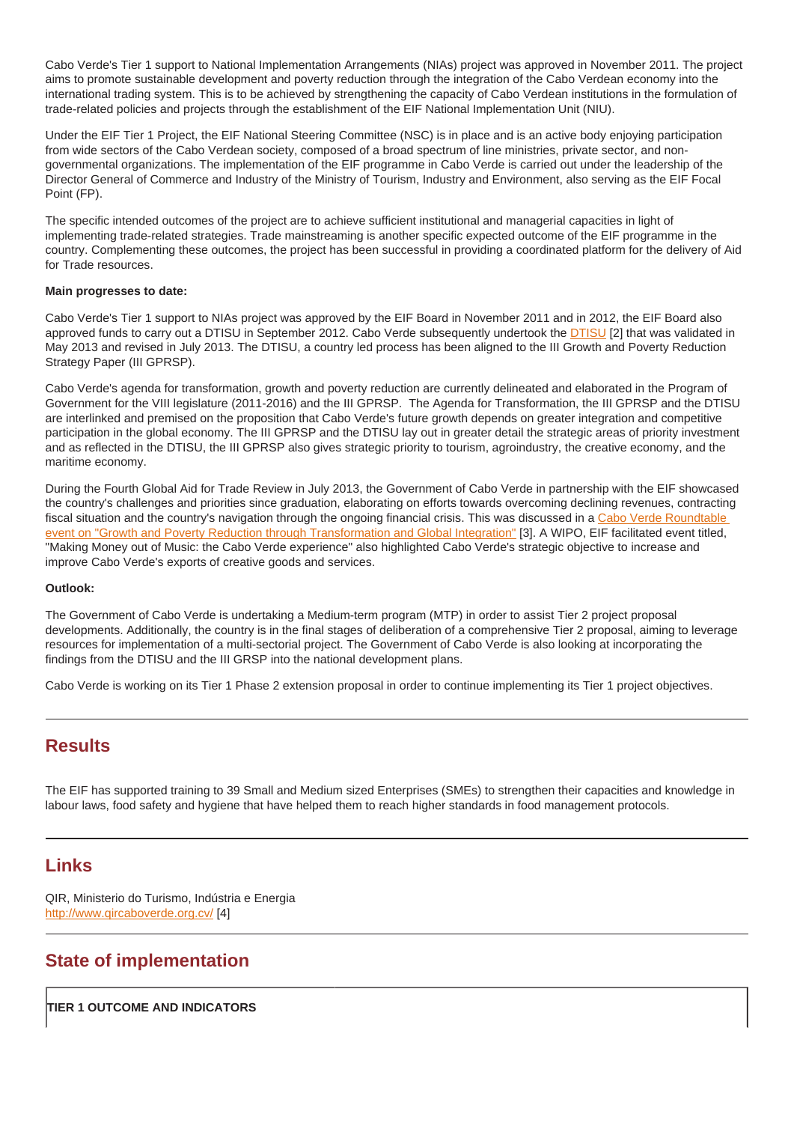Cabo Verde's Tier 1 support to National Implementation Arrangements (NIAs) project was approved in November 2011. The project aims to promote sustainable development and poverty reduction through the integration of the Cabo Verdean economy into the international trading system. This is to be achieved by strengthening the capacity of Cabo Verdean institutions in the formulation of trade-related policies and projects through the establishment of the EIF National Implementation Unit (NIU).

Under the EIF Tier 1 Project, the EIF National Steering Committee (NSC) is in place and is an active body enjoying participation from wide sectors of the Cabo Verdean society, composed of a broad spectrum of line ministries, private sector, and nongovernmental organizations. The implementation of the EIF programme in Cabo Verde is carried out under the leadership of the Director General of Commerce and Industry of the Ministry of Tourism, Industry and Environment, also serving as the EIF Focal Point (FP).

The specific intended outcomes of the project are to achieve sufficient institutional and managerial capacities in light of implementing trade-related strategies. Trade mainstreaming is another specific expected outcome of the EIF programme in the country. Complementing these outcomes, the project has been successful in providing a coordinated platform for the delivery of Aid for Trade resources.

#### Main progresses to date:

Cabo Verde's Tier 1 support to NIAs project was approved by the EIF Board in November 2011 and in 2012, the EIF Board also approved funds to carry out a DTISU in September 2012. Cabo Verde subsequently undertook the DTISU [2] that was validated in May 2013 and revised in July 2013. The DTISU, a country led process has been aligned to the III Growth and Poverty Reduction Strategy Paper (III GPRSP).

Cabo Verde's agenda for transformation, growth and poverty reduction are currently delineated and elaborated in the Program of Government for the VIII legislature (2011-2016) and the III GPRSP. The Agenda for Transformatio[n, the II](http://enhancedif.org/en/system/files/uploads/cv_dtis_update_main_final_eng_valid_rev_18aug13_clean_0.pdf)I GPRSP and the DTISU are interlinked and premised on the proposition that Cabo Verde's future growth depends on greater integration and competitive participation in the global economy. The III GPRSP and the DTISU lay out in greater detail the strategic areas of priority investment and as reflected in the DTISU, the III GPRSP also gives strategic priority to tourism, agroindustry, the creative economy, and the maritime economy.

During the Fourth Global Aid for Trade Review in July 2013, the Government of Cabo Verde in partnership with the EIF showcased the country's challenges and priorities since graduation, elaborating on efforts towards overcoming declining revenues, contracting fiscal situation and the country's navigation through the ongoing financial crisis. This was discussed in a Cabo Verde Roundtable event on "Growth and Poverty Reduction through Transformation and Global Integration" [3]. A WIPO, EIF facilitated event titled, "Making Money out of Music: the Cabo Verde experience" also highlighted Cabo Verde's strategic objective to increase and improve Cabo Verde's exports of creative goods and services.

#### [Outlook:](http:///F:/NEWORG~1/PILLAR~1/GLOBAL~2/CAPEVE~1/E-MAIL~1/INFORMATION NOTE CAPE VERDE 2030 .pdf)

The Government of Cabo Verde is undertaking a Medium-term program (MTP) in order to assist Tier 2 project proposal developments. Additionally, the country is in the final stages of deliberation of a comprehensive Tier 2 proposal, aiming to leverage resources for implementation of a multi-sectorial project. The Government of Cabo Verde is also looking at incorporating the findings from the DTISU and the III GRSP into the national development plans.

Cabo Verde is working on its Tier 1 Phase 2 extension proposal in order to continue implementing its Tier 1 project objectives.

## **Results**

The EIF has supported training to 39 Small and Medium sized Enterprises (SMEs) to strengthen their capacities and knowledge in labour laws, food safety and hygiene that have helped them to reach higher standards in food management protocols.

## Links

QIR, Ministerio do Turismo, Indústria e Energia http://www.qircaboverde.org.cv/ [4]

## State of implementation

TIER 1 OUTCOME AND INDICATORS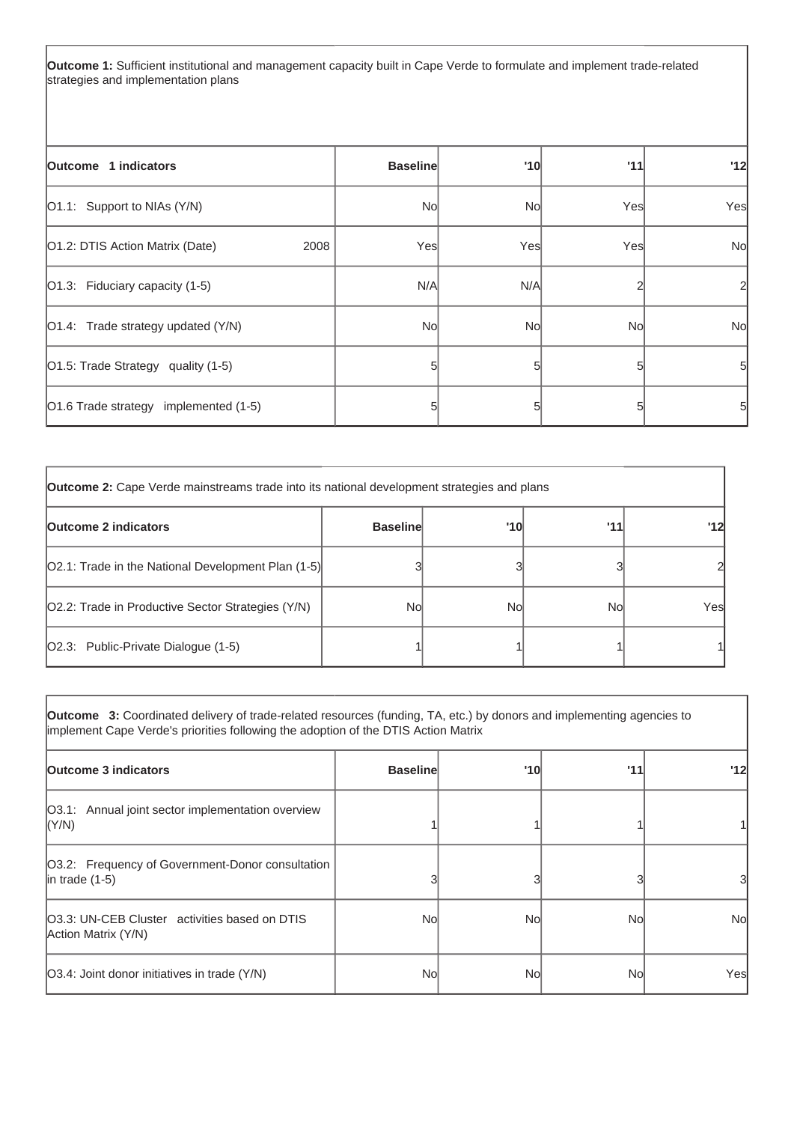**Outcome 1:** Sufficient institutional and management capacity built in Cape Verde to formulate and implement trade-related strategies and implementation plans

| Outcome 1 indicators                    | <b>Baseline</b> | '10 | '11 | '12       |
|-----------------------------------------|-----------------|-----|-----|-----------|
| [O1.1: Support to NIAs (Y/N)            | No              | No  | Yes | Yes       |
| O1.2: DTIS Action Matrix (Date)<br>2008 | Yes             | Yes | Yes | <b>No</b> |
| $ O1.3:$ Fiduciary capacity (1-5)       | N/A             | N/A |     | 2         |
| O1.4: Trade strategy updated (Y/N)      | No              | No  | No  | <b>No</b> |
| O1.5: Trade Strategy quality (1-5)      | 5               |     |     | $5 \mid$  |
| O1.6 Trade strategy implemented (1-5)   |                 |     |     | 5         |

| <b>Outcome 2:</b> Cape Verde mainstreams trade into its national development strategies and plans |                 |     |     |     |
|---------------------------------------------------------------------------------------------------|-----------------|-----|-----|-----|
| <b>Outcome 2 indicators</b>                                                                       | <b>Baseline</b> | '10 | '11 | '12 |
| [O2.1: Trade in the National Development Plan (1-5)]                                              |                 |     |     |     |
| O2.2: Trade in Productive Sector Strategies (Y/N)                                                 | Nol             | No  | Nol | Yes |
| O2.3: Public-Private Dialogue (1-5)                                                               |                 |     |     |     |

| <b>Outcome</b> 3: Coordinated delivery of trade-related resources (funding, TA, etc.) by donors and implementing agencies to<br>implement Cape Verde's priorities following the adoption of the DTIS Action Matrix |                 |     |     |     |
|--------------------------------------------------------------------------------------------------------------------------------------------------------------------------------------------------------------------|-----------------|-----|-----|-----|
| Outcome 3 indicators                                                                                                                                                                                               | <b>Baseline</b> | '10 | '11 | '12 |
| [O3.1: Annual joint sector implementation overview<br> (Y/N)                                                                                                                                                       |                 |     |     |     |
| [O3.2: Frequency of Government-Donor consultation<br>$ $ in trade (1-5)                                                                                                                                            |                 |     |     | 31  |
| <b>O3.3: UN-CEB Cluster</b> activities based on DTIS<br>Action Matrix (Y/N)                                                                                                                                        | Nol             | Nol | Nol | No  |
| [O3.4: Joint donor initiatives in trade (Y/N)                                                                                                                                                                      | Nol             | Nol | Nol | Yes |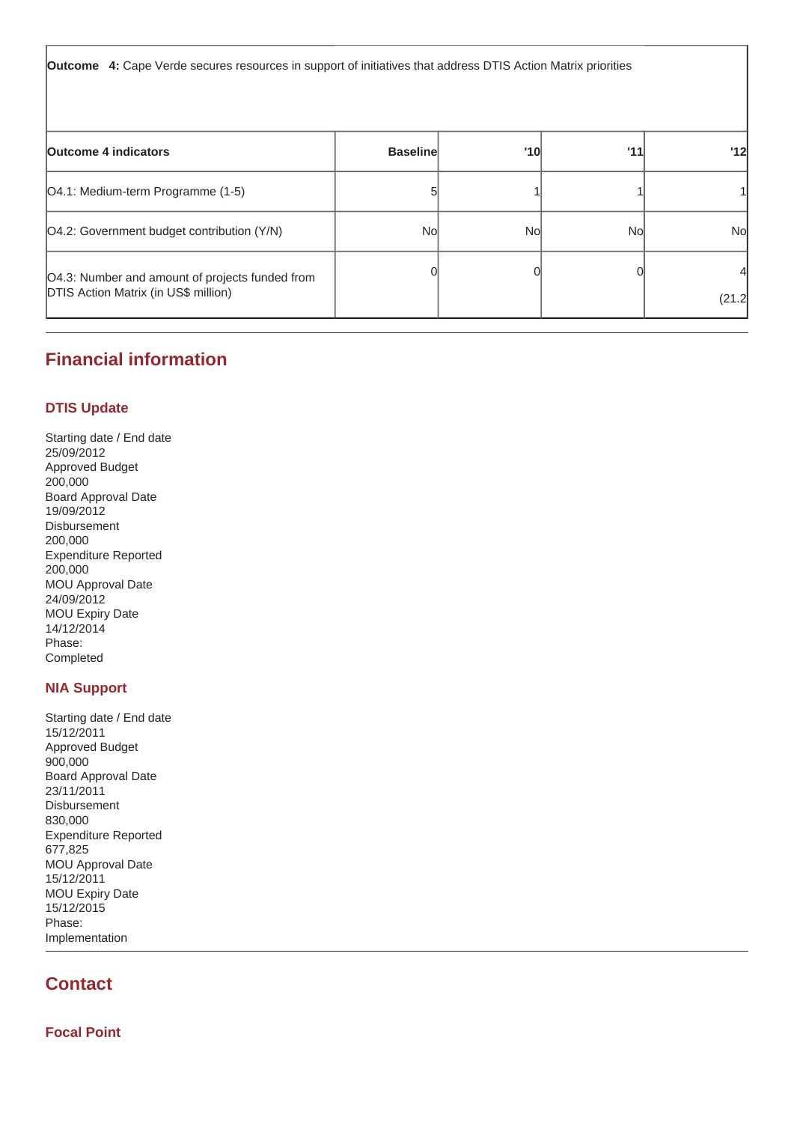**Outcome 4:** Cape Verde secures resources in support of initiatives that address DTIS Action Matrix priorities

| <b>Outcome 4 indicators</b>                                                                    | <b>Baseline</b> | '10 | '11 | '12       |
|------------------------------------------------------------------------------------------------|-----------------|-----|-----|-----------|
| [O4.1: Medium-term Programme (1-5)                                                             |                 |     |     |           |
| [O4.2: Government budget contribution (Y/N)                                                    | Nol             | Nol | No  | <b>No</b> |
| O4.3: Number and amount of projects funded from<br><b>DTIS Action Matrix (in US\$ million)</b> |                 |     |     | (21.2)    |

## **Financial information**

### **DTIS Update**

Starting date / End date 25/09/2012 Approved Budget 200,000 Board Approval Date 19/09/2012 Disbursement 200,000 Expenditure Reported 200,000 MOU Approval Date 24/09/2012 MOU Expiry Date 14/12/2014 Phase: Completed

## **NIA Support**

Starting date / End date 15/12/2011 Approved Budget 900,000 Board Approval Date 23/11/2011 Disbursement 830,000 Expenditure Reported 677,825 MOU Approval Date 15/12/2011 MOU Expiry Date 15/12/2015 Phase: Implementation

## **Contact**

**Focal Point**